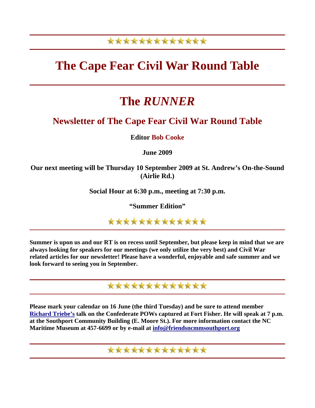## \*\*\*\*\*\*\*\*\*\*\*\*\*

# **The Cape Fear Civil War Round Table**

# **The** *RUNNER*

### **Newsletter of The Cape Fear Civil War Round Table**

**Editor Bob Cooke**

**June 2009** 

**Our next meeting will be Thursday 10 September 2009 at St. Andrew's On-the-Sound (Airlie Rd.)** 

**Social Hour at 6:30 p.m., meeting at 7:30 p.m.** 

**"Summer Edition"** 

\*\*\*\*\*\*\*\*\*\*\*\*\*

**Summer is upon us and our RT is on recess until September, but please keep in mind that we are always looking for speakers for our meetings (we only utilize the very best) and Civil War related articles for our newsletter! Please have a wonderful, enjoyable and safe summer and we look forward to seeing you in September.** 

## \*\*\*\*\*\*\*\*\*\*\*\*\*

**Please mark your calendar on 16 June (the third Tuesday) and be sure to attend member [Richard Triebe's](http://www.richardsbooks.net/index.htm) talk on the Confederate POWs captured at Fort Fisher. He will speak at 7 p.m. at the Southport Community Building (E. Moore St.). For more information contact the NC Maritime Museum at 457-6699 or by e-mail at [info@friendsncmmsouthport.org](mailto:info@friendsncmmsouthport.org)** 

\*\*\*\*\*\*\*\*\*\*\*\*\*